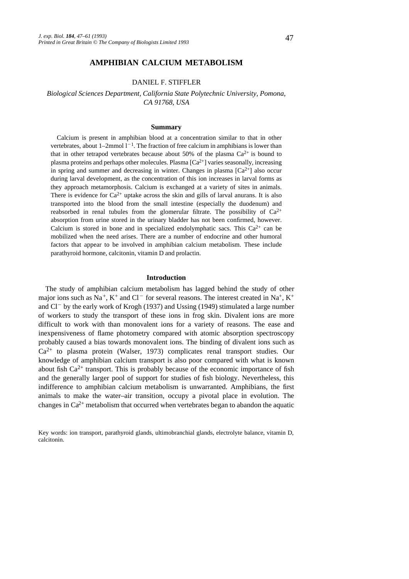## **AMPHIBIAN CALCIUM METABOLISM**

### DANIEL F. STIFFLER

*Biological Sciences Department, California State Polytechnic University, Pomona, CA 91768, USA*

#### **Summary**

Calcium is present in amphibian blood at a concentration similar to that in other vertebrates, about  $1-2$ mmol  $1-1$ . The fraction of free calcium in amphibians is lower than that in other tetrapod vertebrates because about 50% of the plasma  $Ca^{2+}$  is bound to plasma proteins and perhaps other molecules. Plasma  $[Ca^{2+}]$  varies seasonally, increasing in spring and summer and decreasing in winter. Changes in plasma  $[Ca^{2+}]$  also occur during larval development, as the concentration of this ion increases in larval forms as they approach metamorphosis. Calcium is exchanged at a variety of sites in animals. There is evidence for  $Ca^{2+}$  uptake across the skin and gills of larval anurans. It is also transported into the blood from the small intestine (especially the duodenum) and reabsorbed in renal tubules from the glomerular filtrate. The possibility of  $Ca^{2+}$ absorption from urine stored in the urinary bladder has not been confirmed, however. Calcium is stored in bone and in specialized endolymphatic sacs. This  $Ca^{2+}$  can be mobilized when the need arises. There are a number of endocrine and other humoral factors that appear to be involved in amphibian calcium metabolism. These include parathyroid hormone, calcitonin, vitamin D and prolactin.

### **Introduction**

The study of amphibian calcium metabolism has lagged behind the study of other major ions such as Na<sup>+</sup>, K<sup>+</sup> and Cl<sup>-</sup> for several reasons. The interest created in Na<sup>+</sup>, K<sup>+</sup> and  $Cl^-$  by the early work of Krogh (1937) and Ussing (1949) stimulated a large number of workers to study the transport of these ions in frog skin. Divalent ions are more difficult to work with than monovalent ions for a variety of reasons. The ease and inexpensiveness of flame photometry compared with atomic absorption spectroscopy probably caused a bias towards monovalent ions. The binding of divalent ions such as  $Ca^{2+}$  to plasma protein (Walser, 1973) complicates renal transport studies. Our knowledge of amphibian calcium transport is also poor compared with what is known about fish  $Ca^{2+}$  transport. This is probably because of the economic importance of fish and the generally larger pool of support for studies of fish biology. Nevertheless, this indifference to amphibian calcium metabolism is unwarranted. Amphibians, the first animals to make the water–air transition, occupy a pivotal place in evolution. The changes in  $Ca^{2+}$  metabolism that occurred when vertebrates began to abandon the aquatic

Key words: ion transport, parathyroid glands, ultimobranchial glands, electrolyte balance, vitamin D, calcitonin.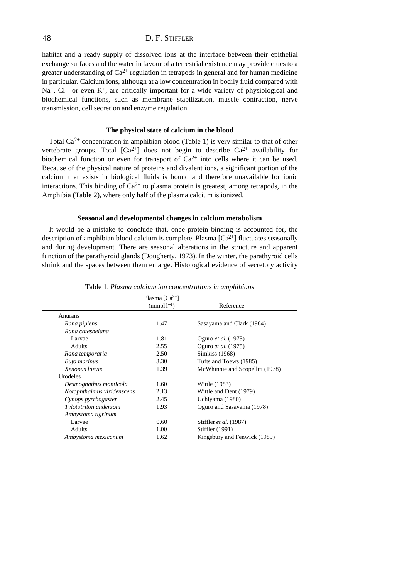habitat and a ready supply of dissolved ions at the interface between their epithelial exchange surfaces and the water in favour of a terrestrial existence may provide clues to a greater understanding of  $Ca^{2+}$  regulation in tetrapods in general and for human medicine in particular. Calcium ions, although at a low concentration in bodily fluid compared with  $Na<sup>+</sup>$ , Cl<sup>-</sup> or even K<sup>+</sup>, are critically important for a wide variety of physiological and biochemical functions, such as membrane stabilization, muscle contraction, nerve transmission, cell secretion and enzyme regulation.

### **The physical state of calcium in the blood**

Total  $Ca^{2+}$  concentration in amphibian blood (Table 1) is very similar to that of other vertebrate groups. Total  $[Ca^{2+}]$  does not begin to describe  $Ca^{2+}$  availability for biochemical function or even for transport of  $Ca^{2+}$  into cells where it can be used. Because of the physical nature of proteins and divalent ions, a significant portion of the calcium that exists in biological fluids is bound and therefore unavailable for ionic interactions. This binding of  $Ca^{2+}$  to plasma protein is greatest, among tetrapods, in the Amphibia (Table 2), where only half of the plasma calcium is ionized.

### **Seasonal and developmental changes in calcium metabolism**

It would be a mistake to conclude that, once protein binding is accounted for, the description of amphibian blood calcium is complete. Plasma  $[Ca^{2+}]$  fluctuates seasonally and during development. There are seasonal alterations in the structure and apparent function of the parathyroid glands (Dougherty, 1973). In the winter, the parathyroid cells shrink and the spaces between them enlarge. Histological evidence of secretory activity

|                            | Plasma $\lceil Ca^{2+} \rceil$ |                                 |
|----------------------------|--------------------------------|---------------------------------|
|                            | $(mmol1^{-1})$                 | Reference                       |
| Anurans                    |                                |                                 |
| Rana pipiens               | 1.47                           | Sasayama and Clark (1984)       |
| Rana catesbeiana           |                                |                                 |
| Larvae                     | 1.81                           | Oguro et al. (1975)             |
| <b>Adults</b>              | 2.55                           | Oguro et al. (1975)             |
| Rana temporaria            | 2.50                           | Simkiss (1968)                  |
| <b>Bufo</b> marinus        | 3.30                           | Tufts and Toews (1985)          |
| Xenopus laevis             | 1.39                           | McWhinnie and Scopelliti (1978) |
| Urodeles                   |                                |                                 |
| Desmognathus monticola     | 1.60                           | Wittle (1983)                   |
| Notophthalmus viridenscens | 2.13                           | Wittle and Dent (1979)          |
| Cynops pyrrhogaster        | 2.45                           | Uchiyama (1980)                 |
| Tylototriton andersoni     | 1.93                           | Oguro and Sasayama (1978)       |
| Ambystoma tigrinum         |                                |                                 |
| Larvae                     | 0.60                           | Stiffler et al. (1987)          |
| <b>Adults</b>              | 1.00                           | Stiffler (1991)                 |
| Ambystoma mexicanum        | 1.62                           | Kingsbury and Fenwick (1989)    |

Table 1. *Plasma calcium ion concentrations in amphibians*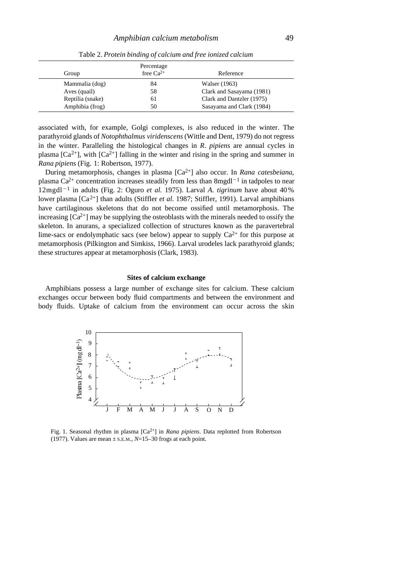|                  | Percentage     |                           |
|------------------|----------------|---------------------------|
| Group            | free $Ca^{2+}$ | Reference                 |
| Mammalia (dog)   | 84             | Walser (1963)             |
| Aves (quail)     | 58             | Clark and Sasayama (1981) |
| Reptilia (snake) | 61             | Clark and Dantzler (1975) |
| Amphibia (frog)  | 50             | Sasayama and Clark (1984) |

Table 2. *Protein binding of calcium and free ionized calcium*

associated with, for example, Golgi complexes, is also reduced in the winter. The parathyroid glands of *Notophthalmus viridenscens* (Wittle and Dent, 1979) do not regress in the winter. Paralleling the histological changes in *R*. *pipiens* are annual cycles in plasma  $[Ca^{2+}]$ , with  $[Ca^{2+}]$  falling in the winter and rising in the spring and summer in *Rana pipiens* (Fig. 1: Robertson, 1977).

During metamorphosis, changes in plasma [Ca2+] also occur. In *Rana catesbeiana*, plasma Ca<sup>2+</sup> concentration increases steadily from less than  $8$ mgdl<sup>-1</sup> in tadpoles to near 12mgdl<sup>-1</sup> in adults (Fig. 2: Oguro et al. 1975). Larval *A. tigrinum* have about 40% lower plasma [Ca2+] than adults (Stiffler *et al*. 1987; Stiffler, 1991). Larval amphibians have cartilaginous skeletons that do not become ossified until metamorphosis. The increasing  $[Ca^{2+}]$  may be supplying the osteoblasts with the minerals needed to ossify the skeleton. In anurans, a specialized collection of structures known as the paravertebral lime-sacs or endolymphatic sacs (see below) appear to supply  $Ca^{2+}$  for this purpose at metamorphosis (Pilkington and Simkiss, 1966). Larval urodeles lack parathyroid glands; these structures appear at metamorphosis (Clark, 1983).

#### **Sites of calcium exchange**

Amphibians possess a large number of exchange sites for calcium. These calcium exchanges occur between body fluid compartments and between the environment and body fluids. Uptake of calcium from the environment can occur across the skin



Fig. 1. Seasonal rhythm in plasma [Ca2+] in *Rana pipiens*. Data replotted from Robertson (1977). Values are mean ± S.E.M., *N*=15–30 frogs at each point.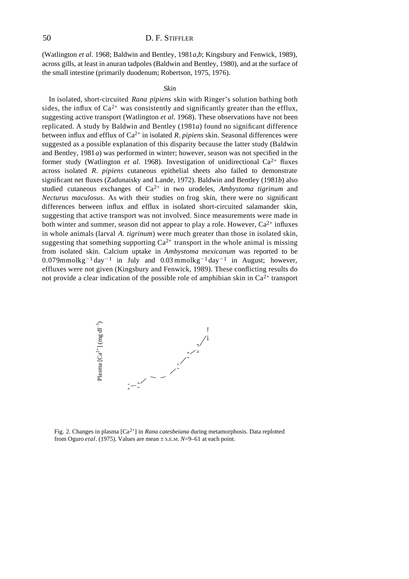(Watlington *et al*. 1968; Baldwin and Bentley, 1981*a*,*b*; Kingsbury and Fenwick, 1989), across gills, at least in anuran tadpoles (Baldwin and Bentley, 1980), and at the surface of the small intestine (primarily duodenum; Robertson, 1975, 1976).

#### *Skin*

In isolated, short-circuited *Rana pipiens* skin with Ringer's solution bathing both sides, the influx of  $Ca^{2+}$  was consistently and significantly greater than the efflux, suggesting active transport (Watlington *et al.* 1968). These observations have not been replicated. A study by Baldwin and Bentley (1981*a*) found no significant difference between influx and efflux of  $Ca^{2+}$  in isolated *R*. *pipiens* skin. Seasonal differences were suggested as a possible explanation of this disparity because the latter study (Baldwin and Bentley, 1981*a*) was performed in winter; however, season was not specified in the former study (Watlington *et al.* 1968). Investigation of unidirectional  $Ca^{2+}$  fluxes across isolated *R. pipiens* cutaneous epithelial sheets also failed to demonstrate significant net fluxes (Zadunaisky and Lande, 1972). Baldwin and Bentley (1981*b*) also studied cutaneous exchanges of Ca<sup>2+</sup> in two urodeles, *Ambystoma tigrinum* and *Necturus maculosus*. As with their studies on frog skin, there were no significant differences between influx and efflux in isolated short-circuited salamander skin, suggesting that active transport was not involved. Since measurements were made in both winter and summer, season did not appear to play a role. However,  $Ca^{2+}$  influxes in whole animals (larval *A. tigrinum*) were much greater than those in isolated skin, suggesting that something supporting  $Ca^{2+}$  transport in the whole animal is missing from isolated skin. Calcium uptake in *Ambystoma mexicanum* was reported to be 0.079mmolkg<sup>-1</sup> day<sup>-1</sup> in July and 0.03 mmolkg<sup>-1</sup> day<sup>-1</sup> in August; however, effluxes were not given (Kingsbury and Fenwick, 1989). These conflicting results do not provide a clear indication of the possible role of amphibian skin in  $Ca^{2+}$  transport



Fig. 2. Changes in plasma [Ca2+] in *Rana catesbeiana* during metamorphosis. Data replotted from Oguro *etal*. (1975). Values are mean ± S.E.M. *N*=9–61 at each point.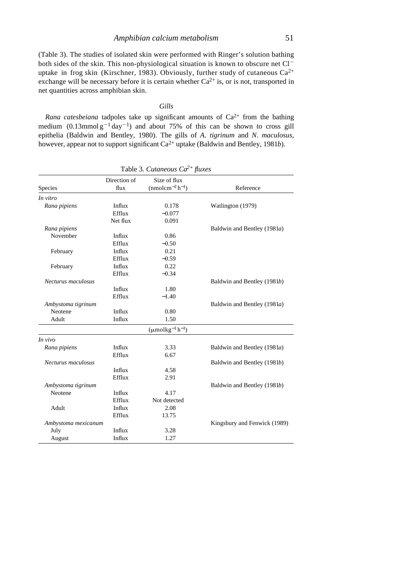(Table 3). The studies of isolated skin were performed with Ringer's solution bathing both sides of the skin. This non-physiological situation is known to obscure net Cl<sup>-</sup> uptake in frog skin (Kirschner, 1983). Obviously, further study of cutaneous  $Ca^{2+}$ exchange will be necessary before it is certain whether  $Ca^{2+}$  is, or is not, transported in net quantities across amphibian skin.

### *Gills*

*Rana catesbeiana* tadpoles take up significant amounts of  $Ca^{2+}$  from the bathing medium  $(0.13$ mmol  $g^{-1}$  day<sup>-1</sup>) and about 75% of this can be shown to cross gill epithelia (Baldwin and Bentley, 1980). The gills of *A*. *tigrinum* and *N*. *maculosus*, however, appear not to support significant Ca<sup>2+</sup> uptake (Baldwin and Bentley, 1981*b*).

|                     | Direction of | Size of flux                            |                              |
|---------------------|--------------|-----------------------------------------|------------------------------|
| Species             | flux         | $(mmolcm-2h-1)$                         | Reference                    |
| In vitro            |              |                                         |                              |
| Rana pipiens        | Influx       | 0.178                                   | Watlington (1979)            |
|                     | Efflux       | $-0.077$                                |                              |
|                     | Net flux     | 0.091                                   |                              |
| Rana pipiens        |              |                                         | Baldwin and Bentley (1981a)  |
| November            | Influx       | 0.86                                    |                              |
|                     | Efflux       | $-0.50$                                 |                              |
| February            | Influx       | 0.21                                    |                              |
|                     | Efflux       | $-0.59$                                 |                              |
| February            | Influx       | 0.22                                    |                              |
|                     | Efflux       | $-0.34$                                 |                              |
| Necturus maculosus  |              |                                         | Baldwin and Bentley (1981b)  |
|                     | Influx       | 1.80                                    |                              |
|                     | Efflux       | $-1.40$                                 |                              |
| Ambystoma tigrinum  |              |                                         | Baldwin and Bentley (1981a)  |
| Neotene             | Influx       | 0.80                                    |                              |
| Adult               | Influx       | 1.50                                    |                              |
|                     |              | $(\mu \text{molkg}^{-1} \text{h}^{-1})$ |                              |
| In vivo             |              |                                         |                              |
| Rana pipiens        | Influx       | 3.33                                    | Baldwin and Bentley (1981a)  |
|                     | Efflux       | 6.67                                    |                              |
| Necturus maculosus  |              |                                         | Baldwin and Bentley (1981b)  |
|                     | Influx       | 4.58                                    |                              |
|                     | Efflux       | 2.91                                    |                              |
| Ambystoma tigrinum  |              |                                         | Baldwin and Bentley (1981b)  |
| Neotene             | Influx       | 4.17                                    |                              |
|                     | Efflux       | Not detected                            |                              |
| Adult               | Influx       | 2.08                                    |                              |
|                     | Efflux       | 13.75                                   |                              |
| Ambystoma mexicanum |              |                                         | Kingsbury and Fenwick (1989) |
| July                | Influx       | 3.28                                    |                              |
| August              | Influx       | 1.27                                    |                              |

Table 3*. Cutaneous Ca2+ fluxes*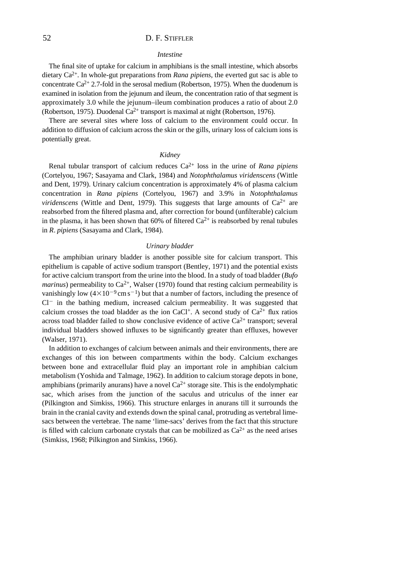### *Intestine*

The final site of uptake for calcium in amphibians is the small intestine, which absorbs dietary Ca<sup>2+</sup>. In whole-gut preparations from *Rana pipiens*, the everted gut sac is able to concentrate  $Ca^{2+}$  2.7-fold in the serosal medium (Robertson, 1975). When the duodenum is examined in isolation from the jejunum and ileum, the concentration ratio of that segment is approximately 3.0 while the jejunum–ileum combination produces a ratio of about 2.0 (Robertson, 1975). Duodenal Ca<sup>2+</sup> transport is maximal at night (Robertson, 1976).

There are several sites where loss of calcium to the environment could occur. In addition to diffusion of calcium across the skin or the gills, urinary loss of calcium ions is potentially great.

### *Kidney*

Renal tubular transport of calcium reduces Ca2+ loss in the urine of *Rana pipiens* (Cortelyou, 1967; Sasayama and Clark, 1984) and *Notophthalamus viridenscens* (Wittle and Dent, 1979). Urinary calcium concentration is approximately 4% of plasma calcium concentration in *Rana pipiens* (Cortelyou, 1967) and 3.9% in *Notophthalamus viridenscens* (Wittle and Dent, 1979). This suggests that large amounts of  $Ca^{2+}$  are reabsorbed from the filtered plasma and, after correction for bound (unfilterable) calcium in the plasma, it has been shown that 60% of filtered  $Ca^{2+}$  is reabsorbed by renal tubules in *R*. *pipiens* (Sasayama and Clark, 1984).

#### *Urinary bladder*

The amphibian urinary bladder is another possible site for calcium transport. This epithelium is capable of active sodium transport (Bentley, 1971) and the potential exists for active calcium transport from the urine into the blood. In a study of toad bladder (*Bufo marinus*) permeability to  $Ca^{2+}$ , Walser (1970) found that resting calcium permeability is vanishingly low  $(4 \times 10^{-9} \text{cm s}^{-1})$  but that a number of factors, including the presence of  $Cl^-$  in the bathing medium, increased calcium permeability. It was suggested that calcium crosses the toad bladder as the ion CaCl<sup>+</sup>. A second study of  $Ca^{2+}$  flux ratios across toad bladder failed to show conclusive evidence of active  $Ca^{2+}$  transport; several individual bladders showed influxes to be significantly greater than effluxes, however (Walser, 1971).

In addition to exchanges of calcium between animals and their environments, there are exchanges of this ion between compartments within the body. Calcium exchanges between bone and extracellular fluid play an important role in amphibian calcium metabolism (Yoshida and Talmage, 1962). In addition to calcium storage depots in bone, amphibians (primarily anurans) have a novel  $Ca^{2+}$  storage site. This is the endolymphatic sac, which arises from the junction of the saculus and utriculus of the inner ear (Pilkington and Simkiss, 1966). This structure enlarges in anurans till it surrounds the brain in the cranial cavity and extends down the spinal canal, protruding as vertebral limesacs between the vertebrae. The name 'lime-sacs' derives from the fact that this structure is filled with calcium carbonate crystals that can be mobilized as  $Ca^{2+}$  as the need arises (Simkiss, 1968; Pilkington and Simkiss, 1966).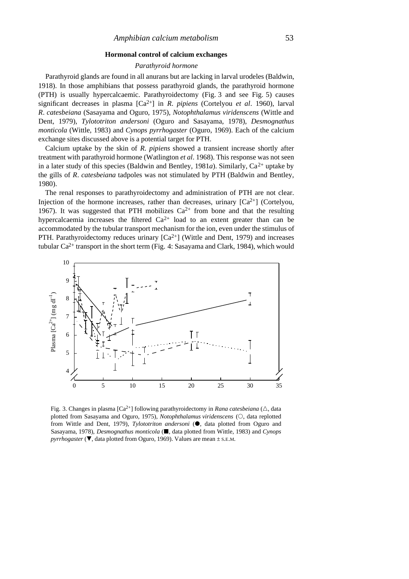### **Hormonal control of calcium exchanges**

### *Parathyroid hormone*

Parathyroid glands are found in all anurans but are lacking in larval urodeles (Baldwin, 1918). In those amphibians that possess parathyroid glands, the parathyroid hormone (PTH) is usually hypercalcaemic. Parathyroidectomy (Fig. 3 and see Fig. 5) causes significant decreases in plasma [Ca2+] in *R*. *pipiens* (Cortelyou *et al*. 1960), larval *R*. *catesbeiana* (Sasayama and Oguro, 1975), *Notophthalamus viridenscens* (Wittle and Dent, 1979), *Tylototriton andersoni* (Oguro and Sasayama, 1978), *Desmognathus monticola* (Wittle, 1983) and *Cynops pyrrhogaster* (Oguro, 1969). Each of the calcium exchange sites discussed above is a potential target for PTH.

Calcium uptake by the skin of *R*. *pipiens* showed a transient increase shortly after treatment with parathyroid hormone (Watlington *et al*. 1968). This response was not seen in a later study of this species (Baldwin and Bentley, 1981*a*). Similarly,  $Ca^{2+}$  uptake by the gills of *R*. *catesbeiana* tadpoles was not stimulated by PTH (Baldwin and Bentley, 1980).

The renal responses to parathyroidectomy and administration of PTH are not clear. Injection of the hormone increases, rather than decreases, urinary  $[Ca^{2+}]$  (Cortelyou, 1967). It was suggested that PTH mobilizes  $Ca^{2+}$  from bone and that the resulting hypercalcaemia increases the filtered  $Ca^{2+}$  load to an extent greater than can be accommodated by the tubular transport mechanism for the ion, even under the stimulus of PTH. Parathyroidectomy reduces urinary  $[Ca^{2+}]\$  (Wittle and Dent, 1979) and increases tubular  $Ca^{2+}$  transport in the short term (Fig. 4: Sasayama and Clark, 1984), which would



Fig. 3. Changes in plasma  $\lceil Ca^{2+} \rceil$  following parathyroidectomy in *Rana catesbeiana* ( $\triangle$ , data plotted from Sasayama and Oguro, 1975), *Notophthalamus viridenscens* ( $\circ$ , data replotted from Wittle and Dent, 1979), *Tylototriton andersoni* ( $\bullet$ , data plotted from Oguro and Sasayama, 1978), *Desmognathus monticola* ( $\blacksquare$ , data plotted from Wittle, 1983) and *Cynops pyrrhogaster* ( $\nabla$ , data plotted from Oguro, 1969). Values are mean  $\pm$  s.E.M.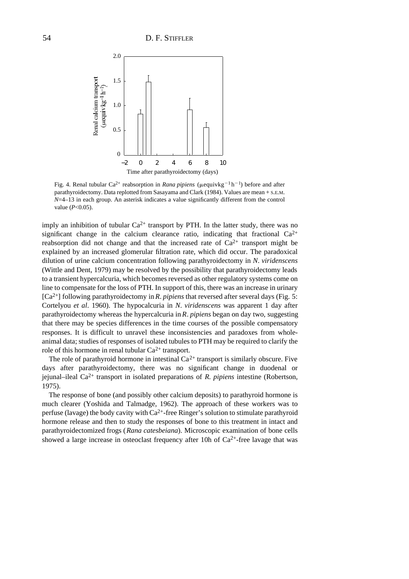

Fig. 4. Renal tubular  $Ca^{2+}$  reabsorption in *Rana pipiens* ( $\mu$ equivkg<sup>-1</sup> h<sup>-1</sup>) before and after parathyroidectomy. Data replotted from Sasayama and Clark (1984). Values are mean + S.E.M. *N*=4–13 in each group. An asterisk indicates a value significantly different from the control value (*P*<0.05).

imply an inhibition of tubular  $Ca^{2+}$  transport by PTH. In the latter study, there was no significant change in the calcium clearance ratio, indicating that fractional  $Ca^{2+}$ reabsorption did not change and that the increased rate of  $Ca^{2+}$  transport might be explained by an increased glomerular filtration rate, which did occur. The paradoxical dilution of urine calcium concentration following parathyroidectomy in *N*. *viridenscens* (Wittle and Dent, 1979) may be resolved by the possibility that parathyroidectomy leads to a transient hypercalcuria, which becomes reversed as other regulatory systems come on line to compensate for the loss of PTH. In support of this, there was an increase in urinary [Ca2+] following parathyroidectomy in *R*. *pipiens* that reversed after several days (Fig. 5: Cortelyou *et al*. 1960). The hypocalcuria in *N*. *viridenscens* was apparent 1 day after parathyroidectomy whereas the hypercalcuria in *R*. *pipiens* began on day two, suggesting that there may be species differences in the time courses of the possible compensatory responses. It is difficult to unravel these inconsistencies and paradoxes from wholeanimal data; studies of responses of isolated tubules to PTH may be required to clarify the role of this hormone in renal tubular  $Ca^{2+}$  transport.

The role of parathyroid hormone in intestinal  $Ca^{2+}$  transport is similarly obscure. Five days after parathyroidectomy, there was no significant change in duodenal or jejunal–ileal Ca2+ transport in isolated preparations of *R*. *pipiens* intestine (Robertson, 1975).

The response of bone (and possibly other calcium deposits) to parathyroid hormone is much clearer (Yoshida and Talmadge, 1962). The approach of these workers was to perfuse (lavage) the body cavity with  $Ca^{2+}$ -free Ringer's solution to stimulate parathyroid hormone release and then to study the responses of bone to this treatment in intact and parathyroidectomized frogs (*Rana catesbeiana*). Microscopic examination of bone cells showed a large increase in osteoclast frequency after 10h of  $Ca^{2+}$ -free lavage that was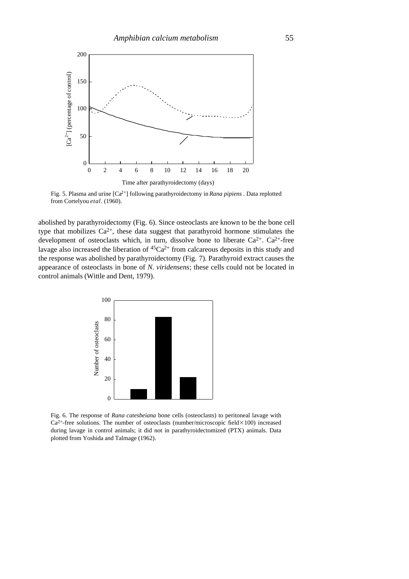

Fig. 5. Plasma and urine [Ca2+] following parathyroidectomy in *Rana pipiens* . Data replotted from Cortelyou *etal*. (1960).

abolished by parathyroidectomy (Fig. 6). Since osteoclasts are known to be the bone cell type that mobilizes  $Ca^{2+}$ , these data suggest that parathyroid hormone stimulates the development of osteoclasts which, in turn, dissolve bone to liberate  $Ca^{2+}$ .  $Ca^{2+}$ -free lavage also increased the liberation of  ${}^{45}Ca^{2+}$  from calcareous deposits in this study and the response was abolished by parathyroidectomy (Fig. 7). Parathyroid extract causes the appearance of osteoclasts in bone of *N*. *viridensens*; these cells could not be located in control animals (Wittle and Dent, 1979).



Fig. 6. The response of *Rana catesbeiana* bone cells (osteoclasts) to peritoneal lavage with  $Ca^{2+}$ -free solutions. The number of osteoclasts (number/microscopic field $\times$ 100) increased during lavage in control animals; it did not in parathyroidectomized (PTX) animals. Data plotted from Yoshida and Talmage (1962).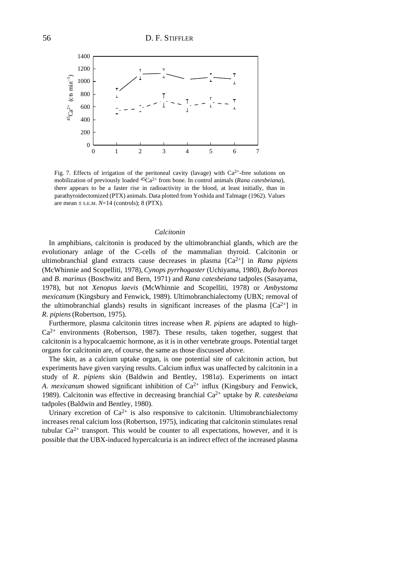

Fig. 7. Effects of irrigation of the peritoneal cavity (lavage) with  $Ca^{2+}$ -free solutions on mobilization of previously loaded 45Ca2+ from bone. In control animals (*Rana catesbeiana*), there appears to be a faster rise in radioactivity in the blood, at least initially, than in parathyroidectomized (PTX) animals. Data plotted from Yoshida and Talmage (1962). Values are mean ± S.E.M. *N*=14 (controls); 8 (PTX).

# *Calcitonin*

In amphibians, calcitonin is produced by the ultimobranchial glands, which are the evolutionary anlage of the C-cells of the mammalian thyroid. Calcitonin or ultimobranchial gland extracts cause decreases in plasma [Ca2+] in *Rana pipiens* (McWhinnie and Scopelliti, 1978), *Cynops pyrrhogaster* (Uchiyama, 1980), *Bufo boreas* and *B*. *marinus* (Boschwitz and Bern, 1971) and *Rana catesbeiana* tadpoles (Sasayama, 1978), but not *Xenopus laevis* (McWhinnie and Scopelliti, 1978) or *Ambystoma mexicanum* (Kingsbury and Fenwick, 1989). Ultimobranchialectomy (UBX; removal of the ultimobranchial glands) results in significant increases of the plasma  $[Ca^{2+}]$  in *R*. *pipiens*(Robertson, 1975).

Furthermore, plasma calcitonin titres increase when *R*. *pipiens* are adapted to high- $Ca^{2+}$  environments (Robertson, 1987). These results, taken together, suggest that calcitonin is a hypocalcaemic hormone, as it is in other vertebrate groups. Potential target organs for calcitonin are, of course, the same as those discussed above.

The skin, as a calcium uptake organ, is one potential site of calcitonin action, but experiments have given varying results. Calcium influx was unaffected by calcitonin in a study of *R*. *pipiens* skin (Baldwin and Bentley, 1981*a*). Experiments on intact *A. mexicanum* showed significant inhibition of  $Ca^{2+}$  influx (Kingsbury and Fenwick, 1989). Calcitonin was effective in decreasing branchial Ca2+ uptake by *R*. *catesbeiana* tadpoles (Baldwin and Bentley, 1980).

Urinary excretion of  $Ca^{2+}$  is also responsive to calcitonin. Ultimobranchialectomy increases renal calcium loss (Robertson, 1975), indicating that calcitonin stimulates renal tubular  $Ca^{2+}$  transport. This would be counter to all expectations, however, and it is possible that the UBX-induced hypercalcuria is an indirect effect of the increased plasma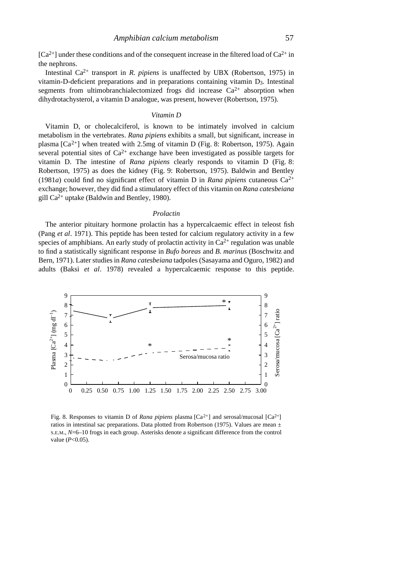$[Ca^{2+}]$  under these conditions and of the consequent increase in the filtered load of  $Ca^{2+}$  in the nephrons.

Intestinal  $Ca^{2+}$  transport in *R. pipiens* is unaffected by UBX (Robertson, 1975) in vitamin-D-deficient preparations and in preparations containing vitamin D<sub>3</sub>. Intestinal segments from ultimobranchialectomized frogs did increase  $Ca^{2+}$  absorption when dihydrotachysterol, a vitamin D analogue, was present, however (Robertson, 1975).

#### *Vitamin D*

Vitamin D, or cholecalciferol, is known to be intimately involved in calcium metabolism in the vertebrates. *Rana pipiens* exhibits a small, but significant, increase in plasma  $[Ca^{2+}]$  when treated with 2.5mg of vitamin D (Fig. 8: Robertson, 1975). Again several potential sites of  $Ca^{2+}$  exchange have been investigated as possible targets for vitamin D. The intestine of *Rana pipiens* clearly responds to vitamin D (Fig. 8: Robertson, 1975) as does the kidney (Fig. 9: Robertson, 1975). Baldwin and Bentley (1981*a*) could find no significant effect of vitamin D in *Rana pipiens* cutaneous  $Ca^{2+}$ exchange; however, they did find a stimulatory effect of this vitamin on *Rana catesbeiana* gill  $Ca^{2+}$  uptake (Baldwin and Bentley, 1980).

#### *Prolactin*

The anterior pituitary hormone prolactin has a hypercalcaemic effect in teleost fish (Pang *et al*. 1971). This peptide has been tested for calcium regulatory activity in a few species of amphibians. An early study of prolactin activity in  $Ca^{2+}$  regulation was unable to find a statistically significant response in *Bufo boreas* and *B*. *marinus* (Boschwitz and Bern, 1971). Later studies in *Rana catesbeiana* tadpoles (Sasayama and Oguro, 1982) and adults (Baksi *et al*. 1978) revealed a hypercalcaemic response to this peptide.



Fig. 8. Responses to vitamin D of *Rana pipiens* plasma [Ca<sup>2+</sup>] and serosal/mucosal [Ca<sup>2+</sup>] ratios in intestinal sac preparations. Data plotted from Robertson (1975). Values are mean  $\pm$ S.E.M., *N*=6–10 frogs in each group. Asterisks denote a significant difference from the control value (*P*<0.05).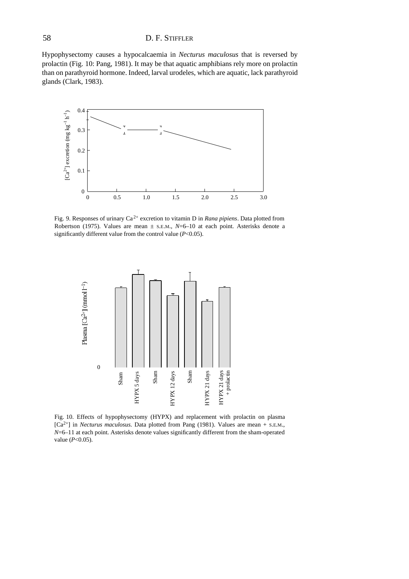Hypophysectomy causes a hypocalcaemia in *Necturus maculosus* that is reversed by prolactin (Fig. 10: Pang, 1981). It may be that aquatic amphibians rely more on prolactin than on parathyroid hormone. Indeed, larval urodeles, which are aquatic, lack parathyroid glands (Clark, 1983).



Fig. 9. Responses of urinary Ca 2+ excretion to vitamin D in *Rana pipiens*. Data plotted from Robertson (1975). Values are mean ± S.E.M., *N*=6–10 at each point. Asterisks denote a significantly different value from the control value (*P*<0.05).



Fig. 10. Effects of hypophysectomy (HYPX) and replacement with prolactin on plasma [Ca2+] in *Necturus maculosus*. Data plotted from Pang (1981). Values are mean + S.E.M., *N*=6–11 at each point. Asterisks denote values significantly different from the sham-operated value (*P*<0.05).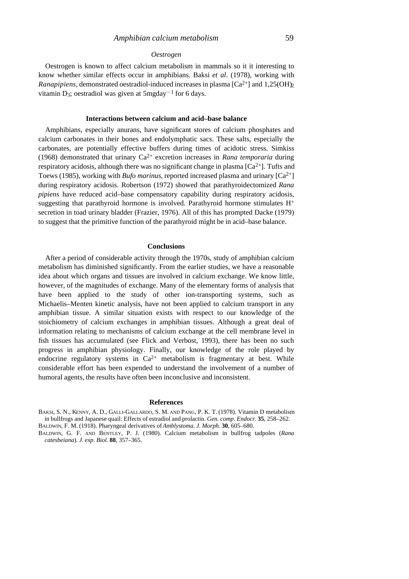### *Amphibian calcium metabolism* 59

### *Oestrogen*

Oestrogen is known to affect calcium metabolism in mammals so it it interesting to know whether similar effects occur in amphibians. Baksi *et al*. (1978), working with *Ranapipiens*, demonstrated oestradiol-induced increases in plasma  $[Ca^{2+}]$  and  $1.25(OH)$ <sub>2</sub> vitamin D<sub>3</sub>; oestradiol was given at  $5mgday^{-1}$  for 6 days.

### **Interactions between calcium and acid–base balance**

Amphibians, especially anurans, have significant stores of calcium phosphates and calcium carbonates in their bones and endolymphatic sacs. These salts, especially the carbonates, are potentially effective buffers during times of acidotic stress. Simkiss (1968) demonstrated that urinary  $Ca^{2+}$  excretion increases in *Rana temporaria* during respiratory acidosis, although there was no significant change in plasma  $[Ca^{2+}]$ . Tufts and Toews (1985), working with *Bufo marinus*, reported increased plasma and urinary [Ca<sup>2+</sup>] during respiratory acidosis. Robertson (1972) showed that parathyroidectomized *Rana pipiens* have reduced acid–base compensatory capability during respiratory acidosis, suggesting that parathyroid hormone is involved. Parathyroid hormone stimulates H<sup>+</sup> secretion in toad urinary bladder (Frazier, 1976). All of this has prompted Dacke (1979) to suggest that the primitive function of the parathyroid might be in acid–base balance.

#### **Conclusions**

After a period of considerable activity through the 1970s, study of amphibian calcium metabolism has diminished significantly. From the earlier studies, we have a reasonable idea about which organs and tissues are involved in calcium exchange. We know little, however, of the magnitudes of exchange. Many of the elementary forms of analysis that have been applied to the study of other ion-transporting systems, such as Michaelis–Menten kinetic analysis, have not been applied to calcium transport in any amphibian tissue. A similar situation exists with respect to our knowledge of the stoichiometry of calcium exchanges in amphibian tissues. Although a great deal of information relating to mechanisms of calcium exchange at the cell membrane level in fish tissues has accumulated (see Flick and Verbost, 1993), there has been no such progress in amphibian physiology. Finally, our knowledge of the role played by endocrine regulatory systems in  $Ca^{2+}$  metabolism is fragmentary at best. While considerable effort has been expended to understand the involvement of a number of humoral agents, the results have often been inconclusive and inconsistent.

#### **References**

BAKSI, S. N., KENNY, A. D., GALLI-GALLARDO, S. M. AND PANG, P. K. T. (1978). Vitamin D metabolism in bullfrogs and Japanese quail: Effects of estradiol and prolactin. *Gen*. *comp*. *Endocr.* **35**, 258–262. BALDWIN, F. M. (1918). Pharyngeal derivatives of *Amblystoma*. *J*. *Morph.* **30**, 605–680.

BALDWIN, G. F. AND BENTLEY, P. J. (1980). Calcium metabolism in bullfrog tadpoles (*Rana catesbeiana*). *J*. *exp*. *Biol*. **88**, 357–365.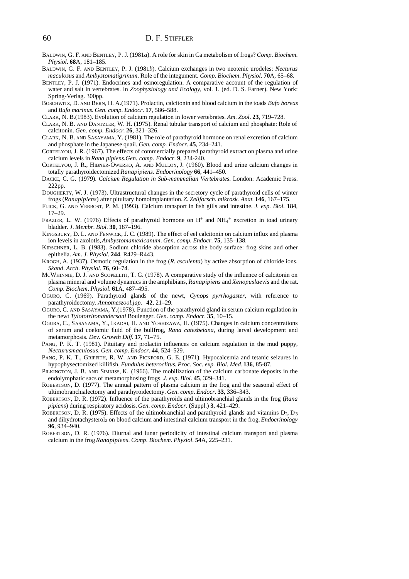- BALDWIN, G. F. AND BENTLEY, P. J. (1981*a*). A role for skin in Ca metabolism of frogs? *Comp*. *Biochem*. *Physiol*. **68**A, 181–185.
- BALDWIN, G. F. AND BENTLEY, P. J. (1981*b*). Calcium exchanges in two neotenic urodeles: *Necturus maculosus* and *Ambystomatigrinum*. Role of the integument. *Comp*. *Biochem*. *Physiol*. **70**A, 65–68.
- BENTLEY, P. J. (1971). Endocrines and osmoregulation. A comparative account of the regulation of water and salt in vertebrates. In *Zoophysiology and Ecology*, vol. 1. (ed. D. S. Farner). New York: Spring-Verlag. 300pp.
- BOSCHWITZ, D. AND BERN, H. A.(1971). Prolactin, calcitonin and blood calcium in the toads *Bufo boreas* and *Bufo marinus*. *Gen*. *comp*. *Endocr*. **17**, 586–588.
- CLARK, N. B.(1983). Evolution of calcium regulation in lower vertebrates. *Am*. *Zool*. **23**, 719–728.
- CLARK, N. B. AND DANTZLER, W. H. (1975). Renal tubular transport of calcium and phosphate: Role of calcitonin. *Gen. comp. Endocr*. **26**, 321–326.
- CLARK, N. B. AND SASAYAMA, Y. (1981). The role of parathyroid hormone on renal excretion of calcium and phosphate in the Japanese quail. *Gen. comp. Endocr.* **45**, 234–241.
- CORTELYOU, J. R. (1967). The effects of commercially prepared parathyroid extract on plasma and urine calcium levels in *Rana pipiens.Gen. comp. Endocr*. **9**, 234-240.
- CORTELYOU, J. R., HIBNER-OWERKO, A. AND MULLOY, J. (1960). Blood and urine calcium changes in totally parathyroidectomized *Ranapipiens*. *Endocrinology* **66**, 441–450.
- DACKE, C. G. (1979). *Calcium Regulation in Sub-mammalian Vertebrates*. London: Academic Press. 222pp.
- DOUGHERTY, W. J. (1973). Ultrastructural changes in the secretory cycle of parathyroid cells of winter frogs (*Ranapipiens*) after pituitary homoimplantation. *Z*. *Zellforsch*. *mikrosk. Anat*. **146**, 167–175.
- FLICK, G. AND VERBOST, P. M. (1993). Calcium transport in fish gills and intestine. *J. exp. Biol*. **184**, 17–29.
- FRAZIER, L. W. (1976) Effects of parathyroid hormone on H<sup>+</sup> and NH<sub>4</sub><sup>+</sup> excretion in toad urinary bladder. *J*. *Membr*. *Biol*. **30**, 187–196.
- KINGSBURY, D. L. AND FENWICK, J. C. (1989). The effect of eel calcitonin on calcium influx and plasma ion levels in axolotls, *Ambystomamexicanum*. *Gen*. *comp*. *Endocr*. **75**, 135–138.
- KIRSCHNER, L. B. (1983). Sodium chloride absorption across the body surface: frog skins and other epithelia. *Am*. *J*. *Physiol*. **244**, R429–R443.
- KROGH, A. (1937). Osmotic regulation in the frog (*R*. *esculenta*) by active absorption of chloride ions. *Skand*. *Arch*. *Physiol*. **76**, 60–74.
- MCWHINNIE, D. J. AND SCOPELLITI, T. G. (1978). A comparative study of the influence of calcitonin on plasma mineral and volume dynamics in the amphibians, *Ranapipiens* and *Xenopuslaevis* and the rat. *Comp*. *Biochem*. *Physiol*. **61**A, 487–495.
- OGURO, C. (1969). Parathyroid glands of the newt, *Cynops pyrrhogaster*, with reference to parathyroidectomy. *Annotneszool.jap.* **42**, 21–29.
- OGURO, C. AND SASAYAMA, Y.(1978). Function of the parathyroid gland in serum calcium regulation in the newt *Tylototritonandersoni* Boulenger. *Gen*. *comp*. *Endocr*. **35**, 10–15.
- OGURA, C., SASAYAMA, Y., IKADAI, H. AND YOSHIZAWA, H. (1975). Changes in calcium concentrations of serum and coelomic fluid of the bullfrog, *Rana catesbeiana*, during larval development and metamorphosis. *Dev. Growth Diff*. **17**, 71–75.
- PANG, P. K. T. (1981). Pituitary and prolactin influences on calcium regulation in the mud puppy, *Necturusmaculosus*. *Gen*. *comp*. *Endocr*. **44**, 524–529.
- PANG, P. K. T., GRIFFITH, R. W. AND PICKFORD, G. E. (1971). Hypocalcemia and tetanic seizures in hypophysectomized killifish, *Fundulus heteroclitus*. *Proc. Soc. exp. Biol. Med*. **136**, 85-87.
- PILKINGTON, J. B. AND SIMKISS, K. (1966). The mobilization of the calcium carbonate deposits in the endolymphatic sacs of metamorphosing frogs. *J*. *exp*. *Biol*. **45**, 329–341.
- ROBERTSON, D. (1977). The annual pattern of plasma calcium in the frog and the seasonal effect of ultimobranchialectomy and parathyroidectomy. *Gen*. *comp*. *Endocr*. **33**, 336–343.
- ROBERTSON, D. R. (1972). Influence of the parathyroids and ultimobranchial glands in the frog (*Rana pipiens*) during respiratory acidosis. *Gen*. *comp*. *Endocr*. (Suppl.) **3**, 421–429.
- ROBERTSON, D. R. (1975). Effects of the ultimobranchial and parathyroid glands and vitamins  $D_2$ ,  $D_3$ and dihydrotachysterol2 on blood calcium and intestinal calcium transport in the frog. *Endocrinology* **96**, 934–940.
- ROBERTSON, D. R. (1976). Diurnal and lunar periodicity of intestinal calcium transport and plasma calcium in the frog *Ranapipiens*. *Comp*. *Biochem*. *Physiol*. **54**A, 225–231.